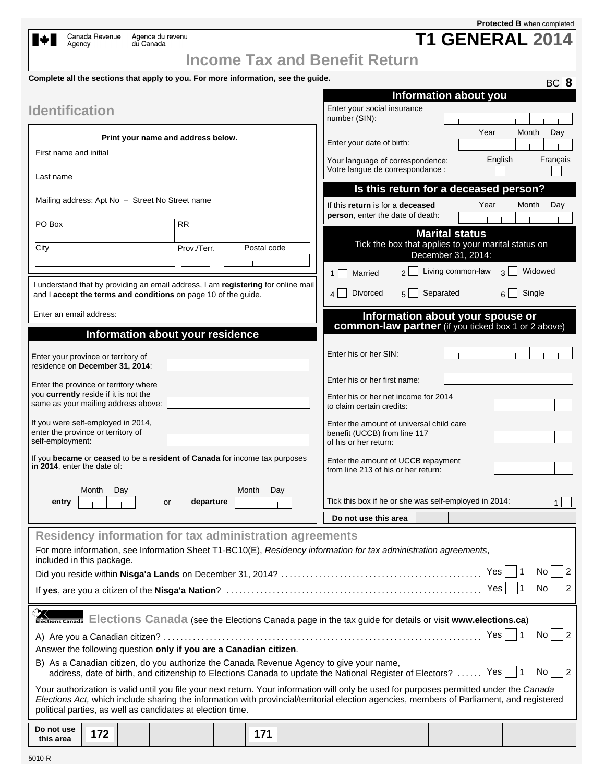| Agency                                                                                                                                                                                                                                                                                                                                             | Canada Revenue | du Canada | Agence du revenu                   |             |                                  |              |                |                                                                                                                 |                |           |                                             |         |                 | <b>T1 GENERAL 2014</b> |
|----------------------------------------------------------------------------------------------------------------------------------------------------------------------------------------------------------------------------------------------------------------------------------------------------------------------------------------------------|----------------|-----------|------------------------------------|-------------|----------------------------------|--------------|----------------|-----------------------------------------------------------------------------------------------------------------|----------------|-----------|---------------------------------------------|---------|-----------------|------------------------|
|                                                                                                                                                                                                                                                                                                                                                    |                |           |                                    |             |                                  |              |                | <b>Income Tax and Benefit Return</b>                                                                            |                |           |                                             |         |                 |                        |
| Complete all the sections that apply to you. For more information, see the guide.                                                                                                                                                                                                                                                                  |                |           |                                    |             |                                  |              |                |                                                                                                                 |                |           |                                             |         |                 | BC 8                   |
|                                                                                                                                                                                                                                                                                                                                                    |                |           |                                    |             |                                  |              |                |                                                                                                                 |                |           | <b>Information about you</b>                |         |                 |                        |
| <b>Identification</b>                                                                                                                                                                                                                                                                                                                              |                |           |                                    |             |                                  |              | number (SIN):  | Enter your social insurance                                                                                     |                |           |                                             |         |                 |                        |
|                                                                                                                                                                                                                                                                                                                                                    |                |           | Print your name and address below. |             |                                  |              |                | Enter your date of birth:                                                                                       |                |           | Year                                        |         | Month           | Day                    |
| First name and initial                                                                                                                                                                                                                                                                                                                             |                |           |                                    |             |                                  |              |                | Your language of correspondence:                                                                                |                |           |                                             | English |                 | Français               |
| Last name                                                                                                                                                                                                                                                                                                                                          |                |           |                                    |             |                                  |              |                | Votre langue de correspondance :                                                                                |                |           |                                             |         |                 |                        |
|                                                                                                                                                                                                                                                                                                                                                    |                |           |                                    |             |                                  |              |                | Is this return for a deceased person?                                                                           |                |           |                                             |         |                 |                        |
| Mailing address: Apt No - Street No Street name                                                                                                                                                                                                                                                                                                    |                |           |                                    |             |                                  |              |                | If this return is for a deceased                                                                                |                |           | Year                                        |         | Month           | Day                    |
| PO Box                                                                                                                                                                                                                                                                                                                                             |                |           |                                    | <b>RR</b>   |                                  |              |                | <b>person</b> , enter the date of death:                                                                        |                |           |                                             |         |                 |                        |
| City                                                                                                                                                                                                                                                                                                                                               |                |           |                                    | Prov./Terr. |                                  | Postal code  |                | Tick the box that applies to your marital status on                                                             |                |           | <b>Marital status</b><br>December 31, 2014: |         |                 |                        |
|                                                                                                                                                                                                                                                                                                                                                    |                |           |                                    |             |                                  |              | 1 <sup>1</sup> | Married                                                                                                         |                |           | Living common-law                           | 3       | Widowed         |                        |
| I understand that by providing an email address, I am registering for online mail<br>and I accept the terms and conditions on page 10 of the guide.                                                                                                                                                                                                |                |           |                                    |             |                                  |              |                | Divorced                                                                                                        | 5 <sup>1</sup> | Separated |                                             | 6       | Single          |                        |
| Enter an email address:                                                                                                                                                                                                                                                                                                                            |                |           |                                    |             |                                  |              |                | Information about your spouse or                                                                                |                |           |                                             |         |                 |                        |
|                                                                                                                                                                                                                                                                                                                                                    |                |           |                                    |             | Information about your residence |              |                | common-law partner (if you ticked box 1 or 2 above)                                                             |                |           |                                             |         |                 |                        |
| Enter your province or territory of<br>residence on December 31, 2014:                                                                                                                                                                                                                                                                             |                |           |                                    |             |                                  |              |                | Enter his or her SIN:                                                                                           |                |           |                                             |         |                 |                        |
| Enter the province or territory where                                                                                                                                                                                                                                                                                                              |                |           |                                    |             |                                  |              |                | Enter his or her first name:                                                                                    |                |           |                                             |         |                 |                        |
| you currently reside if it is not the<br>same as your mailing address above:                                                                                                                                                                                                                                                                       |                |           |                                    |             |                                  |              |                | Enter his or her net income for 2014<br>to claim certain credits:                                               |                |           |                                             |         |                 |                        |
| If you were self-employed in 2014,<br>enter the province or territory of<br>self-employment:                                                                                                                                                                                                                                                       |                |           |                                    |             |                                  |              |                | Enter the amount of universal child care<br>benefit (UCCB) from line 117<br>of his or her return:               |                |           |                                             |         |                 |                        |
| If you became or ceased to be a resident of Canada for income tax purposes<br>in 2014, enter the date of:                                                                                                                                                                                                                                          |                |           |                                    |             |                                  |              |                | Enter the amount of UCCB repayment<br>from line 213 of his or her return:                                       |                |           |                                             |         |                 |                        |
|                                                                                                                                                                                                                                                                                                                                                    | Month          | Day       |                                    |             |                                  | Month<br>Day |                |                                                                                                                 |                |           |                                             |         |                 |                        |
| entry                                                                                                                                                                                                                                                                                                                                              |                |           | or                                 | departure   |                                  |              |                | Tick this box if he or she was self-employed in 2014:                                                           |                |           |                                             |         |                 | $\mathbf{1}$           |
|                                                                                                                                                                                                                                                                                                                                                    |                |           |                                    |             |                                  |              |                | Do not use this area                                                                                            |                |           |                                             |         |                 |                        |
| <b>Residency information for tax administration agreements</b>                                                                                                                                                                                                                                                                                     |                |           |                                    |             |                                  |              |                |                                                                                                                 |                |           |                                             |         |                 |                        |
| For more information, see Information Sheet T1-BC10(E), Residency information for tax administration agreements,<br>included in this package.                                                                                                                                                                                                      |                |           |                                    |             |                                  |              |                |                                                                                                                 |                |           |                                             |         |                 |                        |
|                                                                                                                                                                                                                                                                                                                                                    |                |           |                                    |             |                                  |              |                |                                                                                                                 |                |           |                                             |         |                 | 2<br>No.               |
|                                                                                                                                                                                                                                                                                                                                                    |                |           |                                    |             |                                  |              |                |                                                                                                                 |                |           |                                             | Yes     |                 | 2<br>No                |
| Ж<br>Elections Canada Elections Canada (see the Elections Canada page in the tax guide for details or visit www.elections.ca)                                                                                                                                                                                                                      |                |           |                                    |             |                                  |              |                |                                                                                                                 |                |           |                                             |         |                 |                        |
|                                                                                                                                                                                                                                                                                                                                                    |                |           |                                    |             |                                  |              |                |                                                                                                                 |                |           |                                             | Yes     | $\overline{11}$ | No.<br>2               |
| Answer the following question only if you are a Canadian citizen.                                                                                                                                                                                                                                                                                  |                |           |                                    |             |                                  |              |                |                                                                                                                 |                |           |                                             |         |                 |                        |
| B) As a Canadian citizen, do you authorize the Canada Revenue Agency to give your name,                                                                                                                                                                                                                                                            |                |           |                                    |             |                                  |              |                | address, date of birth, and citizenship to Elections Canada to update the National Register of Electors?  Yes 1 |                |           |                                             |         |                 | No<br>$\overline{2}$   |
| Your authorization is valid until you file your next return. Your information will only be used for purposes permitted under the Canada<br>Elections Act, which include sharing the information with provincial/territorial election agencies, members of Parliament, and registered<br>political parties, as well as candidates at election time. |                |           |                                    |             |                                  |              |                |                                                                                                                 |                |           |                                             |         |                 |                        |
| Do not use                                                                                                                                                                                                                                                                                                                                         |                |           |                                    |             |                                  |              |                |                                                                                                                 |                |           |                                             |         |                 |                        |
| this area                                                                                                                                                                                                                                                                                                                                          | 172            |           |                                    |             |                                  | 171          |                |                                                                                                                 |                |           |                                             |         |                 |                        |

**Protected B** when completed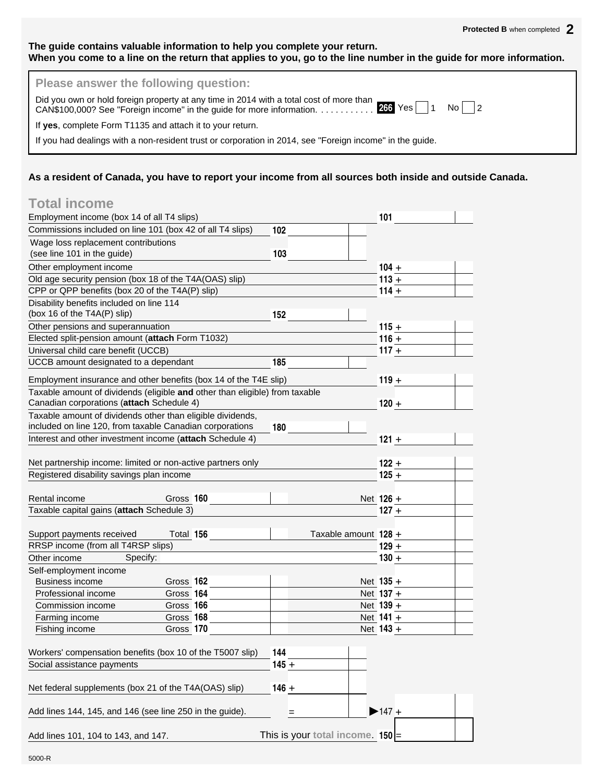## **The guide contains valuable information to help you complete your return. When you come to a line on the return that applies to you, go to the line number in the guide for more information.**

| Please answer the following question:                                                                                                                                           |
|---------------------------------------------------------------------------------------------------------------------------------------------------------------------------------|
| Did you own or hold foreign property at any time in 2014 with a total cost of more than<br>CAN\$100,000? See "Foreign income" in the guide for more information. 200 Yes 1 No 2 |
| If yes, complete Form T1135 and attach it to your return.                                                                                                                       |
| If you had dealings with a non-resident trust or corporation in 2014, see "Foreign income" in the quide.                                                                        |

## **As a resident of Canada, you have to report your income from all sources both inside and outside Canada.**

| <b>Total income</b>             |  |  |
|---------------------------------|--|--|
| Escalation and in a speak (less |  |  |

| Employment income (box 14 of all T4 slips)                                   |                                    | 101                |
|------------------------------------------------------------------------------|------------------------------------|--------------------|
| Commissions included on line 101 (box 42 of all T4 slips)                    | 102                                |                    |
| Wage loss replacement contributions                                          |                                    |                    |
| (see line 101 in the guide)                                                  | 103                                |                    |
| Other employment income                                                      |                                    | $104 +$            |
| Old age security pension (box 18 of the T4A(OAS) slip)                       |                                    | $113 +$            |
| CPP or QPP benefits (box 20 of the T4A(P) slip)                              |                                    | $114 +$            |
| Disability benefits included on line 114                                     |                                    |                    |
| (box 16 of the T4A(P) slip)                                                  | 152                                |                    |
| Other pensions and superannuation                                            |                                    | $115 +$            |
| Elected split-pension amount (attach Form T1032)                             |                                    | $116 +$            |
| Universal child care benefit (UCCB)                                          |                                    | $117 +$            |
| UCCB amount designated to a dependant                                        | 185                                |                    |
| Employment insurance and other benefits (box 14 of the T4E slip)             |                                    | $119 +$            |
| Taxable amount of dividends (eligible and other than eligible) from taxable  |                                    |                    |
| Canadian corporations (attach Schedule 4)                                    |                                    | $120 +$            |
| Taxable amount of dividends other than eligible dividends,                   |                                    |                    |
| included on line 120, from taxable Canadian corporations                     | 180                                |                    |
| Interest and other investment income (attach Schedule 4)                     |                                    | $121 +$            |
|                                                                              |                                    |                    |
| Net partnership income: limited or non-active partners only                  |                                    | $122 +$            |
| Registered disability savings plan income                                    |                                    | $125 +$            |
|                                                                              |                                    |                    |
| Rental income<br>Gross 160                                                   |                                    | Net 126 +          |
| Taxable capital gains (attach Schedule 3)                                    |                                    | $127 +$            |
|                                                                              |                                    |                    |
| Support payments received<br>Total 156<br>RRSP income (from all T4RSP slips) | Taxable amount 128 +               |                    |
| Specify:                                                                     |                                    | $129 +$<br>$130 +$ |
| Other income                                                                 |                                    |                    |
| Self-employment income<br><b>Business income</b><br>Gross 162                |                                    | Net $135 +$        |
| Professional income<br>Gross 164                                             |                                    | Net 137 +          |
| Commission income<br>Gross 166                                               |                                    | Net 139 +          |
| Farming income<br>Gross 168                                                  |                                    | Net $141 +$        |
| Gross 170<br>Fishing income                                                  |                                    | Net $143 +$        |
|                                                                              |                                    |                    |
| Workers' compensation benefits (box 10 of the T5007 slip)                    | 144                                |                    |
| Social assistance payments                                                   | $145 +$                            |                    |
|                                                                              |                                    |                    |
| Net federal supplements (box 21 of the T4A(OAS) slip)                        | $146 +$                            |                    |
|                                                                              |                                    |                    |
| Add lines 144, 145, and 146 (see line 250 in the guide).                     |                                    | $>147 +$           |
|                                                                              |                                    |                    |
| Add lines 101, 104 to 143, and 147.                                          | This is your total income. $150$ = |                    |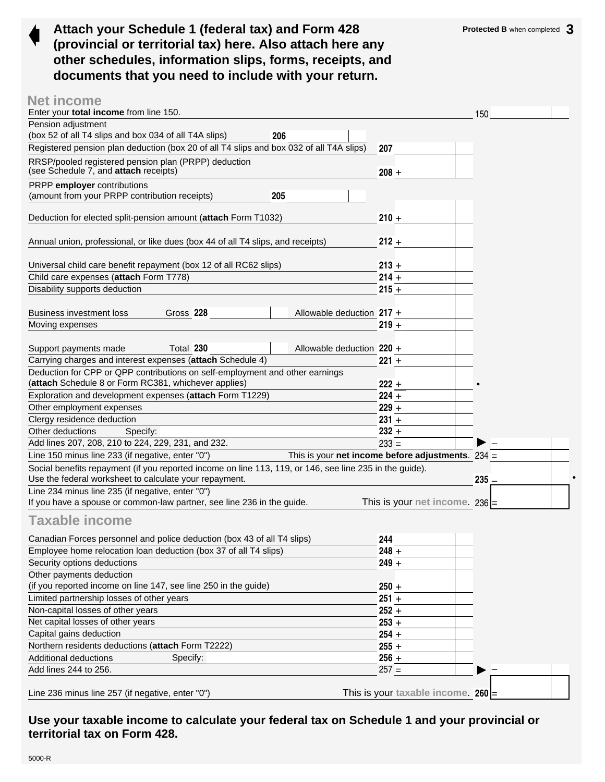

## **Net income**

| Enter your <b>total income</b> from line 150.                                                                                                                     |         |                                  | 150  |  |
|-------------------------------------------------------------------------------------------------------------------------------------------------------------------|---------|----------------------------------|------|--|
| Pension adjustment<br>(box 52 of all T4 slips and box 034 of all T4A slips)<br>206                                                                                |         |                                  |      |  |
| Registered pension plan deduction (box 20 of all T4 slips and box 032 of all T4A slips)                                                                           | 207     |                                  |      |  |
| RRSP/pooled registered pension plan (PRPP) deduction<br>(see Schedule 7, and attach receipts)                                                                     | $208 +$ |                                  |      |  |
| PRPP employer contributions                                                                                                                                       |         |                                  |      |  |
| 205<br>(amount from your PRPP contribution receipts)                                                                                                              |         |                                  |      |  |
| Deduction for elected split-pension amount (attach Form T1032)                                                                                                    | $210 +$ |                                  |      |  |
| Annual union, professional, or like dues (box 44 of all T4 slips, and receipts)                                                                                   | $212 +$ |                                  |      |  |
| Universal child care benefit repayment (box 12 of all RC62 slips)                                                                                                 | $213 +$ |                                  |      |  |
| Child care expenses (attach Form T778)                                                                                                                            | $214 +$ |                                  |      |  |
| Disability supports deduction                                                                                                                                     | $215 +$ |                                  |      |  |
|                                                                                                                                                                   |         |                                  |      |  |
| Gross 228<br>Allowable deduction 217 +<br><b>Business investment loss</b>                                                                                         |         |                                  |      |  |
| Moving expenses                                                                                                                                                   | $219 +$ |                                  |      |  |
|                                                                                                                                                                   |         |                                  |      |  |
| Total 230<br>Allowable deduction $220 +$<br>Support payments made                                                                                                 |         |                                  |      |  |
| Carrying charges and interest expenses (attach Schedule 4)                                                                                                        | $221 +$ |                                  |      |  |
| Deduction for CPP or QPP contributions on self-employment and other earnings                                                                                      |         |                                  |      |  |
| (attach Schedule 8 or Form RC381, whichever applies)                                                                                                              | $222 +$ |                                  |      |  |
| Exploration and development expenses (attach Form T1229)                                                                                                          | $224 +$ |                                  |      |  |
| Other employment expenses                                                                                                                                         | $229 +$ |                                  |      |  |
| Clergy residence deduction                                                                                                                                        | $231 +$ |                                  |      |  |
| Other deductions<br>Specify:                                                                                                                                      | $232 +$ |                                  |      |  |
| Add lines 207, 208, 210 to 224, 229, 231, and 232.                                                                                                                | $233 =$ |                                  |      |  |
| Line 150 minus line 233 (if negative, enter "0")<br>This is your net income before adjustments. $234 =$                                                           |         |                                  |      |  |
| Social benefits repayment (if you reported income on line 113, 119, or 146, see line 235 in the guide).<br>Use the federal worksheet to calculate your repayment. |         |                                  | 235. |  |
| Line 234 minus line 235 (if negative, enter "0")                                                                                                                  |         |                                  |      |  |
| If you have a spouse or common-law partner, see line 236 in the guide.                                                                                            |         | This is your net income. $236$ = |      |  |
| <b>Taxable income</b>                                                                                                                                             |         |                                  |      |  |
| Canadian Forces personnel and police deduction (box 43 of all T4 slips)                                                                                           | 244     |                                  |      |  |
| Employee home relocation loan deduction (box 37 of all T4 slips)                                                                                                  | $248 +$ |                                  |      |  |
| Security options deductions                                                                                                                                       | $249 +$ |                                  |      |  |
| Other payments deduction                                                                                                                                          |         |                                  |      |  |
| (if you reported income on line 147, see line 250 in the guide)                                                                                                   | $250 +$ |                                  |      |  |
| Limited partnership losses of other years                                                                                                                         | $251 +$ |                                  |      |  |
| Non-capital losses of other years                                                                                                                                 | $252 +$ |                                  |      |  |
| Net capital losses of other years                                                                                                                                 | $253 +$ |                                  |      |  |
| Capital gains deduction                                                                                                                                           | $254 +$ |                                  |      |  |
| Northern residents deductions (attach Form T2222)                                                                                                                 | $255 +$ |                                  |      |  |
| Additional deductions<br>Specify:                                                                                                                                 | $256 +$ |                                  |      |  |
| Add lines 244 to 256.                                                                                                                                             | $257 =$ |                                  |      |  |
|                                                                                                                                                                   |         |                                  |      |  |

Line 236 minus line 257 (if negative, enter "0") This is your taxable income. 260 =

**Use your taxable income to calculate your federal tax on Schedule 1 and your provincial or territorial tax on Form 428.**